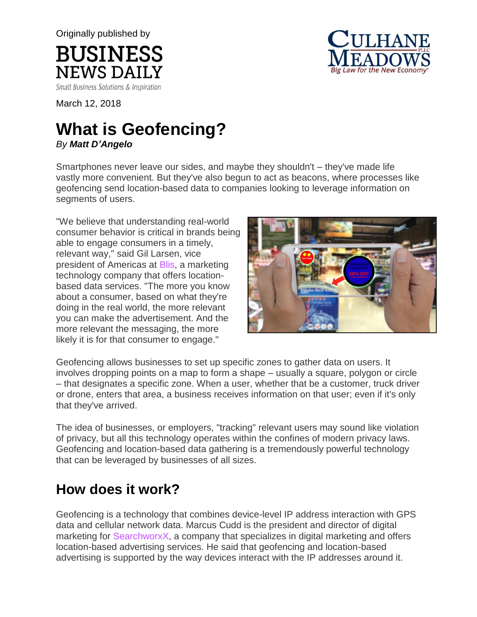Originally published by



Small Business Solutions & Inspiration

**BUSINESS** 

**NEWS DAILY** 

March 12, 2018

# **What is Geofencing?**

*By Matt D'Angelo*

Smartphones never leave our sides, and maybe they shouldn't – they've made life vastly more convenient. But they've also begun to act as beacons, where processes like geofencing send location-based data to companies looking to leverage information on segments of users.

"We believe that understanding real-world consumer behavior is critical in brands being able to engage consumers in a timely, relevant way," said Gil Larsen, vice president of Americas at [Blis,](http://www.blis.com/) a marketing technology company that offers locationbased data services. "The more you know about a consumer, based on what they're doing in the real world, the more relevant you can make the advertisement. And the more relevant the messaging, the more likely it is for that consumer to engage."



Geofencing allows businesses to set up specific zones to gather data on users. It involves dropping points on a map to form a shape – usually a square, polygon or circle – that designates a specific zone. When a user, whether that be a customer, truck driver or drone, enters that area, a business receives information on that user; even if it's only that they've arrived.

The idea of businesses, or employers, "tracking" relevant users may sound like violation of privacy, but all this technology operates within the confines of modern privacy laws. Geofencing and location-based data gathering is a tremendously powerful technology that can be leveraged by businesses of all sizes.

# **How does it work?**

Geofencing is a technology that combines device-level IP address interaction with GPS data and cellular network data. Marcus Cudd is the president and director of digital marketing for [SearchworxX,](https://www.searchworxx.com/) a company that specializes in digital marketing and offers location-based advertising services. He said that geofencing and location-based advertising is supported by the way devices interact with the IP addresses around it.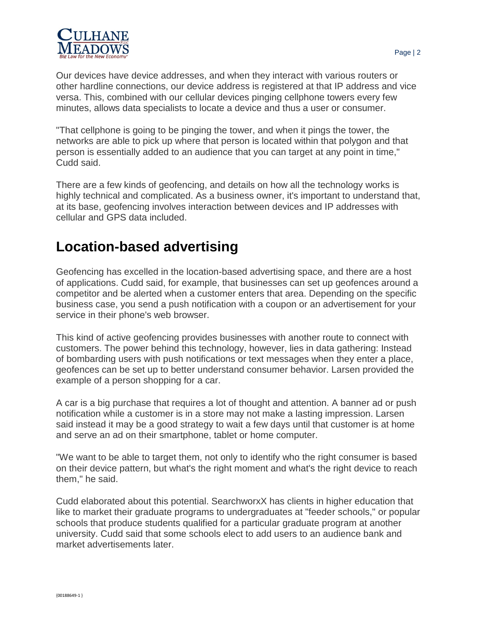

Our devices have device addresses, and when they interact with various routers or other hardline connections, our device address is registered at that IP address and vice versa. This, combined with our cellular devices pinging cellphone towers every few minutes, allows data specialists to locate a device and thus a user or consumer.

"That cellphone is going to be pinging the tower, and when it pings the tower, the networks are able to pick up where that person is located within that polygon and that person is essentially added to an audience that you can target at any point in time," Cudd said.

There are a few kinds of geofencing, and details on how all the technology works is highly technical and complicated. As a business owner, it's important to understand that, at its base, geofencing involves interaction between devices and IP addresses with cellular and GPS data included.

### **Location-based advertising**

Geofencing has excelled in the location-based advertising space, and there are a host of applications. Cudd said, for example, that businesses can set up geofences around a competitor and be alerted when a customer enters that area. Depending on the specific business case, you send a push notification with a coupon or an advertisement for your service in their phone's web browser.

This kind of active geofencing provides businesses with another route to connect with customers. The power behind this technology, however, lies in data gathering: Instead of bombarding users with push notifications or text messages when they enter a place, geofences can be set up to better understand consumer behavior. Larsen provided the example of a person shopping for a car.

A car is a big purchase that requires a lot of thought and attention. A banner ad or push notification while a customer is in a store may not make a lasting impression. Larsen said instead it may be a good strategy to wait a few days until that customer is at home and serve an ad on their smartphone, tablet or home computer.

"We want to be able to target them, not only to identify who the right consumer is based on their device pattern, but what's the right moment and what's the right device to reach them," he said.

Cudd elaborated about this potential. SearchworxX has clients in higher education that like to market their graduate programs to undergraduates at "feeder schools," or popular schools that produce students qualified for a particular graduate program at another university. Cudd said that some schools elect to add users to an audience bank and market advertisements later.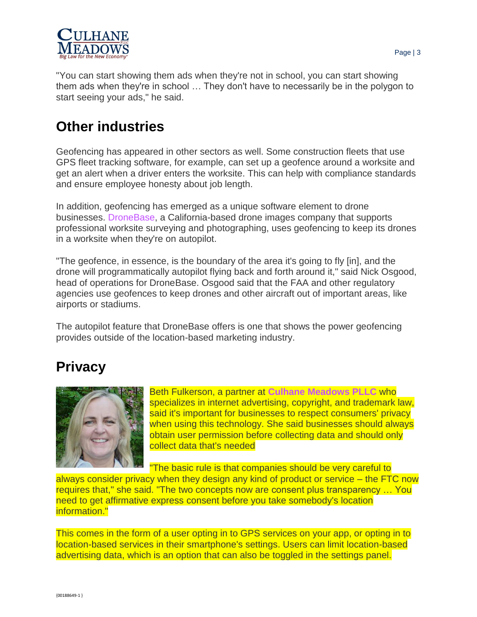

"You can start showing them ads when they're not in school, you can start showing them ads when they're in school … They don't have to necessarily be in the polygon to start seeing your ads," he said.

# **Other industries**

Geofencing has appeared in other sectors as well. Some construction fleets that use GPS fleet tracking software, for example, can set up a geofence around a worksite and get an alert when a driver enters the worksite. This can help with compliance standards and ensure employee honesty about job length.

In addition, geofencing has emerged as a unique software element to drone businesses. [DroneBase,](https://www.dronebase.com/) a California-based drone images company that supports professional worksite surveying and photographing, uses geofencing to keep its drones in a worksite when they're on autopilot.

"The geofence, in essence, is the boundary of the area it's going to fly [in], and the drone will programmatically autopilot flying back and forth around it," said Nick Osgood, head of operations for DroneBase. Osgood said that the FAA and other regulatory agencies use geofences to keep drones and other aircraft out of important areas, like airports or stadiums.

The autopilot feature that DroneBase offers is one that shows the power geofencing provides outside of the location-based marketing industry.

### **Privacy**



Beth Fulkerson, a partner at **Culhane [Meadows](https://www.culhanemeadows.com/attorney/beth-fulkerson/) PLLC** who specializes in internet advertising, copyright, and trademark law, said it's important for businesses to respect consumers' privacy when using this technology. She said businesses should always obtain user permission before collecting data and should only collect data that's needed

"The basic rule is that companies should be very careful to always consider privacy when they design any kind of product or service – the FTC now requires that," she said. "The two concepts now are consent plus transparency … You

need to get affirmative express consent before you take somebody's location information."

This comes in the form of a user opting in to GPS services on your app, or opting in to location-based services in their smartphone's settings. Users can limit location-based advertising data, which is an option that can also be toggled in the settings panel.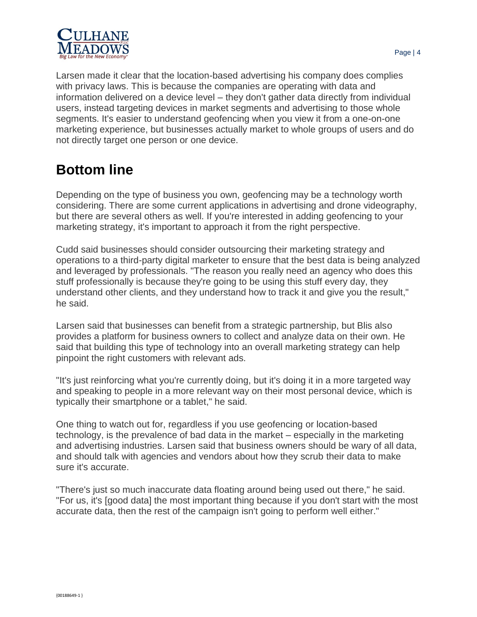

Larsen made it clear that the location-based advertising his company does complies with privacy laws. This is because the companies are operating with data and information delivered on a device level – they don't gather data directly from individual users, instead targeting devices in market segments and advertising to those whole segments. It's easier to understand geofencing when you view it from a one-on-one marketing experience, but businesses actually market to whole groups of users and do not directly target one person or one device.

# **Bottom line**

Depending on the type of business you own, geofencing may be a technology worth considering. There are some current applications in advertising and drone videography, but there are several others as well. If you're interested in adding geofencing to your marketing strategy, it's important to approach it from the right perspective.

Cudd said businesses should consider outsourcing their marketing strategy and operations to a third-party digital marketer to ensure that the best data is being analyzed and leveraged by professionals. "The reason you really need an agency who does this stuff professionally is because they're going to be using this stuff every day, they understand other clients, and they understand how to track it and give you the result," he said.

Larsen said that businesses can benefit from a strategic partnership, but Blis also provides a platform for business owners to collect and analyze data on their own. He said that building this type of technology into an overall marketing strategy can help pinpoint the right customers with relevant ads.

"It's just reinforcing what you're currently doing, but it's doing it in a more targeted way and speaking to people in a more relevant way on their most personal device, which is typically their smartphone or a tablet," he said.

One thing to watch out for, regardless if you use geofencing or location-based technology, is the prevalence of bad data in the market – especially in the marketing and advertising industries. Larsen said that business owners should be wary of all data, and should talk with agencies and vendors about how they scrub their data to make sure it's accurate.

"There's just so much inaccurate data floating around being used out there," he said. "For us, it's [good data] the most important thing because if you don't start with the most accurate data, then the rest of the campaign isn't going to perform well either."